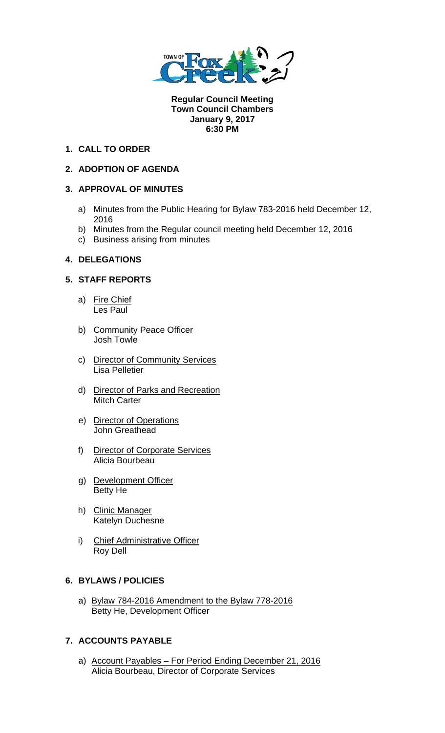

**Regular Council Meeting Town Council Chambers January 9, 2017 6:30 PM** 

## **1. CALL TO ORDER**

## **2. ADOPTION OF AGENDA**

## **3. APPROVAL OF MINUTES**

- a) Minutes from the Public Hearing for Bylaw 783-2016 held December 12, 2016
- b) Minutes from the Regular council meeting held December 12, 2016
- c) Business arising from minutes

## **4. DELEGATIONS**

## **5. STAFF REPORTS**

- a) Fire Chief Les Paul
- b) Community Peace Officer Josh Towle
- c) Director of Community Services Lisa Pelletier
- d) Director of Parks and Recreation Mitch Carter
- e) Director of Operations John Greathead
- f) Director of Corporate Services Alicia Bourbeau
- g) Development Officer Betty He
- h) Clinic Manager Katelyn Duchesne
- i) Chief Administrative Officer Roy Dell

#### **6. BYLAWS / POLICIES**

a) Bylaw 784-2016 Amendment to the Bylaw 778-2016 Betty He, Development Officer

# **7. ACCOUNTS PAYABLE**

a) Account Payables – For Period Ending December 21, 2016 Alicia Bourbeau, Director of Corporate Services